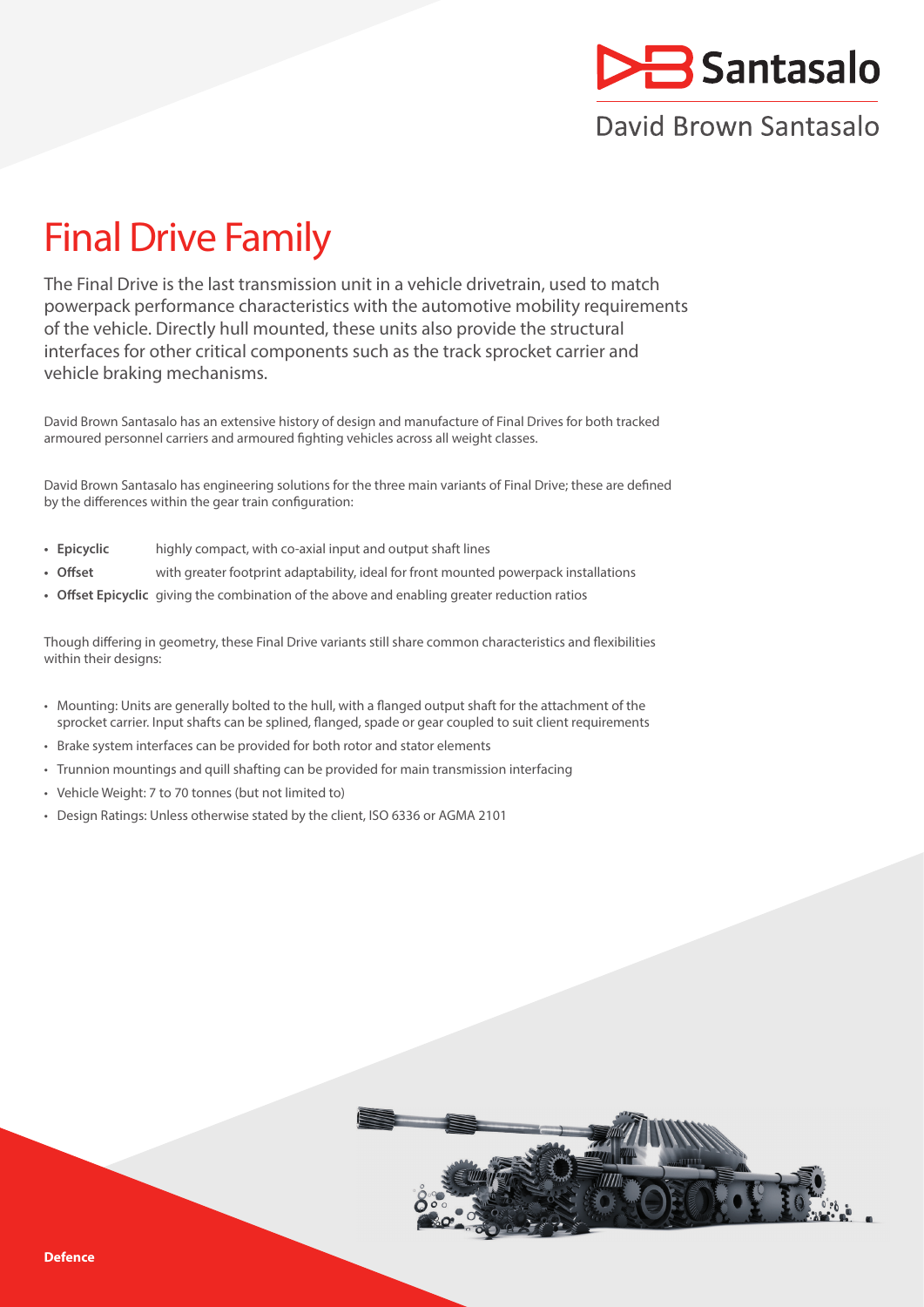

# David Brown Santasalo

# Final Drive Family

The Final Drive is the last transmission unit in a vehicle drivetrain, used to match powerpack performance characteristics with the automotive mobility requirements of the vehicle. Directly hull mounted, these units also provide the structural interfaces for other critical components such as the track sprocket carrier and vehicle braking mechanisms.

David Brown Santasalo has an extensive history of design and manufacture of Final Drives for both tracked armoured personnel carriers and armoured fighting vehicles across all weight classes.

David Brown Santasalo has engineering solutions for the three main variants of Final Drive; these are defined by the differences within the gear train configuration:

- **• Epicyclic** highly compact, with co-axial input and output shaft lines
- **• Offset** with greater footprint adaptability, ideal for front mounted powerpack installations
- **• Offset Epicyclic** giving the combination of the above and enabling greater reduction ratios

Though differing in geometry, these Final Drive variants still share common characteristics and flexibilities within their designs:

- Mounting: Units are generally bolted to the hull, with a flanged output shaft for the attachment of the sprocket carrier. Input shafts can be splined, flanged, spade or gear coupled to suit client requirements
- Brake system interfaces can be provided for both rotor and stator elements
- Trunnion mountings and quill shafting can be provided for main transmission interfacing
- Vehicle Weight: 7 to 70 tonnes (but not limited to)
- Design Ratings: Unless otherwise stated by the client, ISO 6336 or AGMA 2101

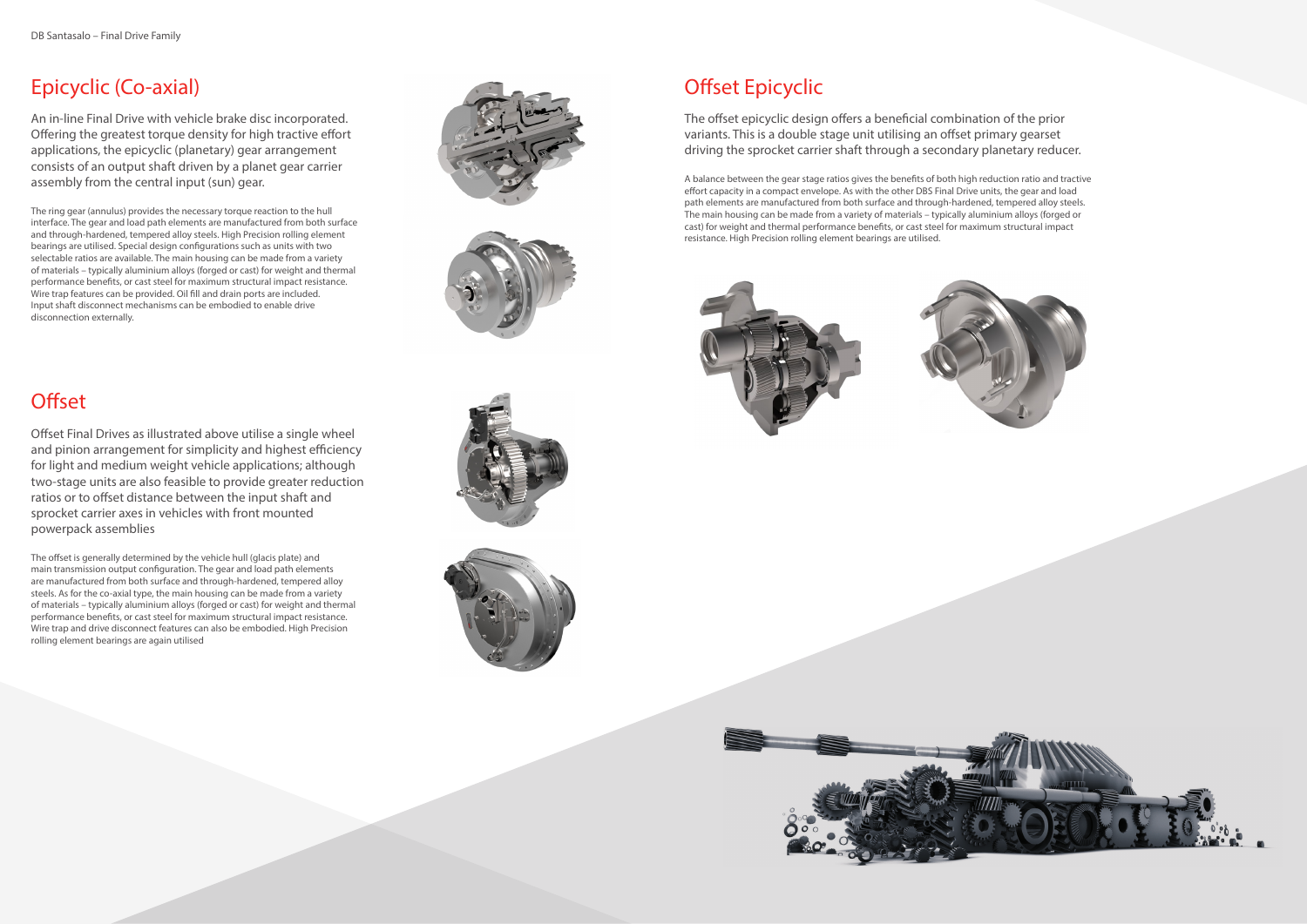# Epicyclic (Co-axial) Offset Epicyclic

An in-line Final Drive with vehicle brake disc incorporated. Offering the greatest torque density for high tractive effort applications, the epicyclic (planetary) gear arrangement consists of an output shaft driven by a planet gear carrier assembly from the central input (sun) gear.

The ring gear (annulus) provides the necessary torque reaction to the hull interface. The gear and load path elements are manufactured from both surface and through-hardened, tempered alloy steels. High Precision rolling element bearings are utilised. Special design configurations such as units with two selectable ratios are available. The main housing can be made from a variety of materials – typically aluminium alloys (forged or cast) for weight and thermal performance benefits, or cast steel for maximum structural impact resistance. Wire trap features can be provided. Oil fill and drain ports are included. Input shaft disconnect mechanisms can be embodied to enable drive disconnection externally.





The offset epicyclic design offers a beneficial combination of the prior variants. This is a double stage unit utilising an offset primary gearset driving the sprocket carrier shaft through a secondary planetary reducer.

A balance between the gear stage ratios gives the benefits of both high reduction ratio and tractive effort capacity in a compact envelope. As with the other DBS Final Drive units, the gear and load path elements are manufactured from both surface and through-hardened, tempered alloy steels. The main housing can be made from a variety of materials – typically aluminium alloys (forged or cast) for weight and thermal performance benefits, or cast steel for maximum structural impact resistance. High Precision rolling element bearings are utilised.



# **Offset**

Offset Final Drives as illustrated above utilise a single wheel and pinion arrangement for simplicity and highest efficiency for light and medium weight vehicle applications; although two-stage units are also feasible to provide greater reduction ratios or to offset distance between the input shaft and sprocket carrier axes in vehicles with front mounted powerpack assemblies

The offset is generally determined by the vehicle hull (glacis plate) and main transmission output configuration. The gear and load path elements are manufactured from both surface and through-hardened, tempered alloy steels. As for the co-axial type, the main housing can be made from a variety of materials – typically aluminium alloys (forged or cast) for weight and thermal performance benefits, or cast steel for maximum structural impact resistance. Wire trap and drive disconnect features can also be embodied. High Precision rolling element bearings are again utilised